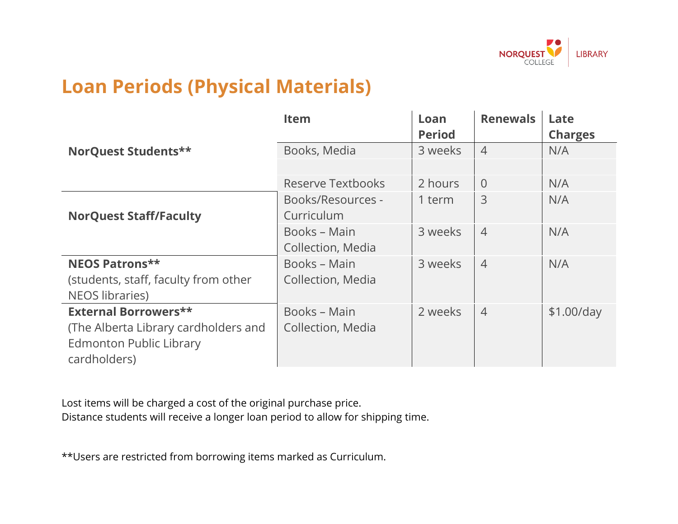

## **Loan Periods (Physical Materials)**

|                                      | <b>Item</b>              | Loan          | <b>Renewals</b> | Late           |
|--------------------------------------|--------------------------|---------------|-----------------|----------------|
|                                      |                          | <b>Period</b> |                 | <b>Charges</b> |
| NorQuest Students**                  | Books, Media             | 3 weeks       | $\overline{4}$  | N/A            |
|                                      |                          |               |                 |                |
|                                      | <b>Reserve Textbooks</b> | 2 hours       | $\overline{0}$  | N/A            |
|                                      | Books/Resources -        | 1 term        | 3               | N/A            |
| <b>NorQuest Staff/Faculty</b>        | Curriculum               |               |                 |                |
|                                      | Books - Main             | 3 weeks       | $\overline{4}$  | N/A            |
|                                      | Collection, Media        |               |                 |                |
| <b>NEOS Patrons**</b>                | Books - Main             | 3 weeks       | $\overline{4}$  | N/A            |
| (students, staff, faculty from other | Collection, Media        |               |                 |                |
| <b>NEOS libraries)</b>               |                          |               |                 |                |
| <b>External Borrowers**</b>          | Books - Main             | 2 weeks       | $\overline{4}$  | $$1.00$ /day   |
| (The Alberta Library cardholders and | Collection, Media        |               |                 |                |
| <b>Edmonton Public Library</b>       |                          |               |                 |                |
| cardholders)                         |                          |               |                 |                |

Lost items will be charged a cost of the original purchase price. Distance students will receive a longer loan period to allow for shipping time.

\*\*Users are restricted from borrowing items marked as Curriculum.